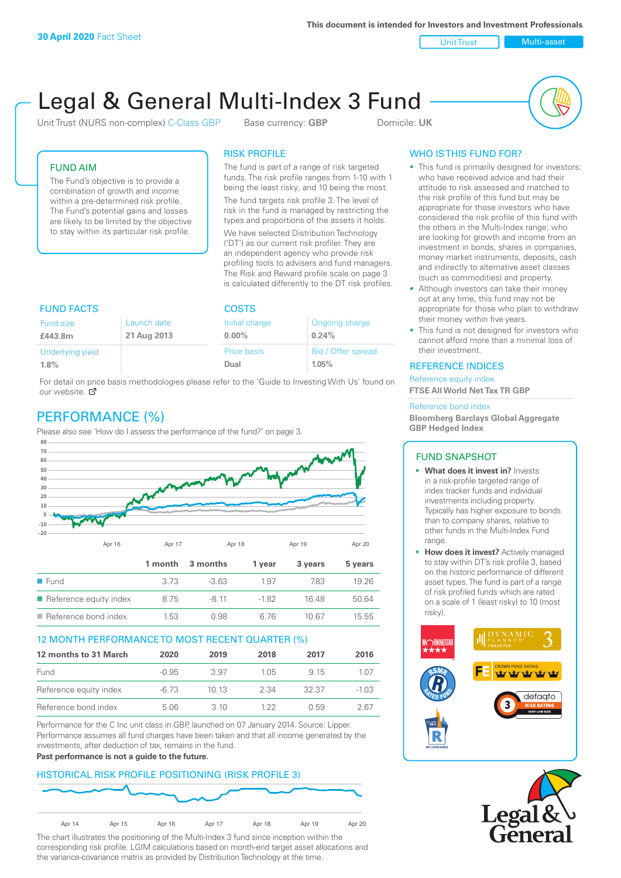**This document is intended for Investors and Investment Professionals**

Unit Trust Nulti-asset

# Legal & General Multi-Index 3 Fund

Unit Trust (NURS non-complex) C-Class GBP Base currency: **GBP** Domicile: UK



### FUND AIM

The Fund's objective is to provide a combination of growth and income within a pre-determined risk profile. The Fund's potential gains and losses are likely to be limited by the objective to stay within its particular risk profile.

### RISK PROFILE

The fund is part of a range of risk targeted funds. The risk profile ranges from 1-10 with 1 being the least risky, and 10 being the most.

The fund targets risk profile 3. The level of risk in the fund is managed by restricting the types and proportions of the assets it holds. We have selected Distribution Technology ('DT') as our current risk profiler. They are an independent agency who provide risk profiling tools to advisers and fund managers. The Risk and Reward profile scale on page 3 is calculated differently to the DT risk profiles.

| <b>FUND FACTS</b> |             | <b>COSTS</b> |                    |  |
|-------------------|-------------|--------------|--------------------|--|
| Fund size         | Launch date |              | Ongoing charge     |  |
| £443.8m           | 21 Aug 2013 |              | 0.24%              |  |
| Underlying yield  |             | Price basis  | Bid / Offer spread |  |
| 1.8%              |             | Dual         | 1.05%              |  |

For detail on price basis methodologies please refer to the 'Guide to Investing With Us' found on our website. Ø

# PERFORMANCE (%)

Please also see 'How do I assess the performance of the fund?' on page 3.



### 12 MONTH PERFORMANCE TO MOST RECENT QUARTER (%)

| 12 months to 31 March  | 2020    | 2019  | 2018  | 2017  | 2016    |
|------------------------|---------|-------|-------|-------|---------|
| Fund                   | $-0.95$ | 3.97  | 1 0.5 | 9 15  | 1.07    |
| Reference equity index | -6.73   | 1013  | 2.34  | 32.37 | $-1.03$ |
| Reference bond index   | 5.06    | 3. IO | 1 22  | ()59  | 2 67    |

Performance for the C Inc unit class in GBP, launched on 07 January 2014. Source: Lipper. Performance assumes all fund charges have been taken and that all income generated by the investments, after deduction of tax, remains in the fund.

### **Past performance is not a guide to the future.**

# HISTORICAL RISK PROFILE POSITIONING (RISK PROFILE 3)



The chart illustrates the positioning of the Multi-Index 3 fund since inception within the corresponding risk profile. LGIM calculations based on month-end target asset allocations and the variance-covariance matrix as provided by Distribution Technology at the time.

# WHO IS THIS FUND FOR?

- This fund is primarily designed for investors: who have received advice and had their attitude to risk assessed and matched to the risk profile of this fund but may be appropriate for those investors who have considered the risk profile of this fund with the others in the Multi-Index range; who are looking for growth and income from an investment in bonds, shares in companies, money market instruments, deposits, cash and indirectly to alternative asset classes (such as commodities) and property.
- Although investors can take their money out at any time, this fund may not be appropriate for those who plan to withdraw their money within five years.
- This fund is not designed for investors who cannot afford more than a minimal loss of their investment.

### REFERENCE INDICES

Reference equity index **FTSE All World Net Tax TR GBP**

#### Reference bond index

**Bloomberg Barclays Global Aggregate GBP Hedged Index**

### FUND SNAPSHOT

- **• What does it invest in?** Invests in a risk-profile targeted range of index tracker funds and individual investments including property. Typically has higher exposure to bonds than to company shares, relative to other funds in the Multi-Index Fund range.
- **• How does it invest?** Actively managed to stay within DT's risk profile 3, based on the historic performance of different asset types. The fund is part of a range of risk profiled funds which are rated on a scale of 1 (least risky) to 10 (most risky).



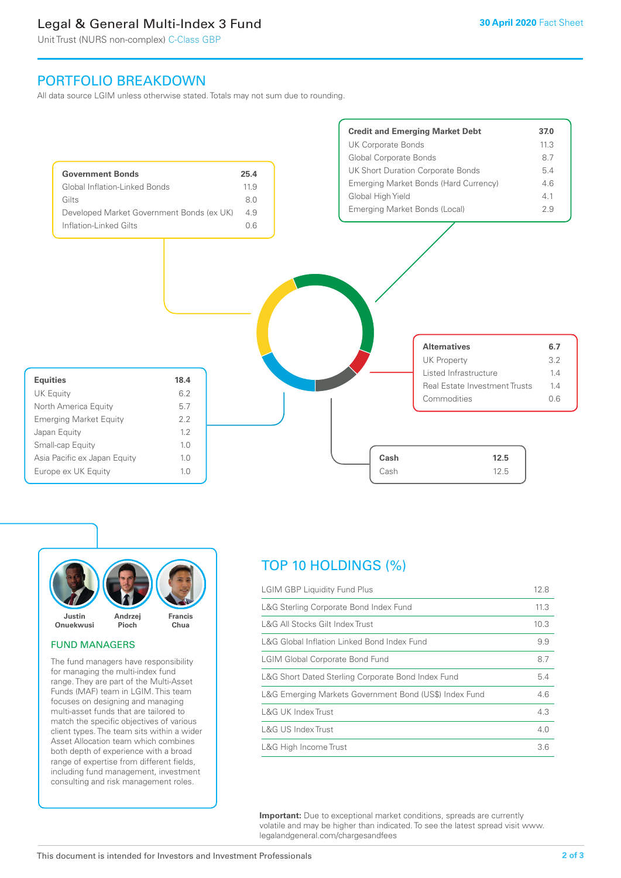# Legal & General Multi-Index 3 Fund

Unit Trust (NURS non-complex) C-Class GBP

# PORTFOLIO BREAKDOWN

All data source LGIM unless otherwise stated. Totals may not sum due to rounding.





#### FUND MANAGERS

The fund managers have responsibility for managing the multi-index fund range. They are part of the Multi-Asset Funds (MAF) team in LGIM. This team focuses on designing and managing multi-asset funds that are tailored to match the specific objectives of various client types. The team sits within a wider Asset Allocation team which combines both depth of experience with a broad range of expertise from different fields, including fund management, investment consulting and risk management roles.

# TOP 10 HOLDINGS (%)

| <b>LGIM GBP Liquidity Fund Plus</b>                    | 12.8 |
|--------------------------------------------------------|------|
| L&G Sterling Corporate Bond Index Fund                 | 11.3 |
| L&G All Stocks Gilt Index Trust                        | 10.3 |
| L&G Global Inflation Linked Bond Index Fund            | 9.9  |
| <b>LGIM Global Corporate Bond Fund</b>                 | 8.7  |
| L&G Short Dated Sterling Corporate Bond Index Fund     | 5.4  |
| L&G Emerging Markets Government Bond (US\$) Index Fund | 4.6  |
| L&G UK Index Trust                                     | 4.3  |
| L&G US Index Trust                                     | 4.0  |
| L&G High Income Trust                                  | 3.6  |

**Important:** Due to exceptional market conditions, spreads are currently volatile and may be higher than indicated. To see the latest spread visit www. legalandgeneral.com/chargesandfees